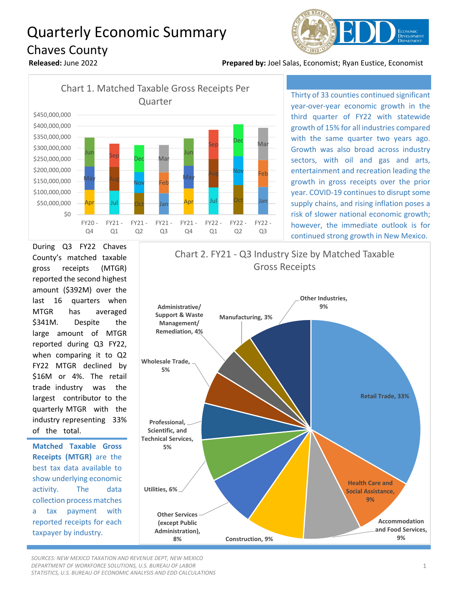## Quarterly Economic Summary Chaves County



**Released:** June 2022 **Prepared by:** Joel Salas, Economist; Ryan Eustice, Economist



Thirty of 33 counties continued significant year-over-year economic growth in the third quarter of FY22 with statewide growth of 15% for all industries compared with the same quarter two years ago. Growth was also broad across industry sectors, with oil and gas and arts, entertainment and recreation leading the growth in gross receipts over the prior year. COVID-19 continues to disrupt some supply chains, and rising inflation poses a risk of slower national economic growth; however, the immediate outlook is for continued strong growth in New Mexico.

During Q3 FY22 Chaves County's matched taxable gross receipts (MTGR) reported the second highest amount (\$392M) over the last 16 quarters when MTGR has averaged \$341M. Despite the large amount of MTGR reported during Q3 FY22, when comparing it to Q2 FY22 MTGR declined by \$16M or 4%. The retail trade industry was the largest contributor to the quarterly MTGR with the industry representing 33% of the total.

**Matched Taxable Gross Receipts (MTGR)** are the best tax data available to show underlying economic activity. The data collection process matches a tax payment with reported receipts for each taxpayer by industry.

**Retail Trade, 33% Health Care and Social Assistance, 9% Accommodation and Food Services, Construction, 9% 19% 9% Other Services (except Public Administration), 8% Utilities, 6% Professional, Scientific, and Technical Services, 5% Wholesale Trade, 5% Administrative/ Support & Waste Management/ Remediation, 4% Manufacturing, 3% Other Industries, 9%** Chart 2. FY21 - Q3 Industry Size by Matched Taxable Gross Receipts

*SOURCES: NEW MEXICO TAXATION AND REVENUE DEPT, NEW MEXICO DEPARTMENT OF WORKFORCE SOLUTIONS, U.S. BUREAU OF LABOR STATISTICS, U.S. BUREAU OF ECONOMIC ANALYSIS AND EDD CALCULATIONS*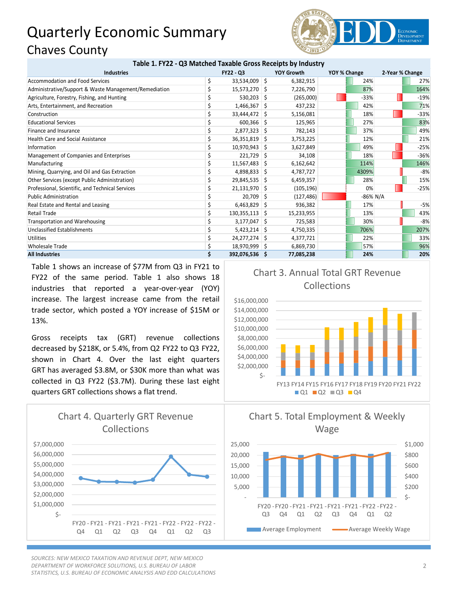## Quarterly Economic Summary Chaves County



## **Table 1. FY22 - Q3 Matched Taxable Gross Receipts by Industry**

| <b>Industries</b>                                     | <b>FY22 - Q3</b><br><b>YOY Growth</b> |    | YOY % Change |  | 2-Year % Change |  |        |
|-------------------------------------------------------|---------------------------------------|----|--------------|--|-----------------|--|--------|
| <b>Accommodation and Food Services</b>                | 33,534,009                            | S. | 6,382,915    |  | 24%             |  | 27%    |
| Administrative/Support & Waste Management/Remediation | 15,573,270 \$                         |    | 7,226,790    |  | 87%             |  | 164%   |
| Agriculture, Forestry, Fishing, and Hunting           | 530,203                               | -S | (265,000)    |  | $-33%$          |  | $-19%$ |
| Arts, Entertainment, and Recreation                   | $1,466,367$ \$                        |    | 437,232      |  | 42%             |  | 71%    |
| Construction                                          | 33,444,472 \$                         |    | 5,156,081    |  | 18%             |  | $-33%$ |
| <b>Educational Services</b>                           | $600,366$ \$                          |    | 125,965      |  | 27%             |  | 83%    |
| Finance and Insurance                                 | $2,877,323$ \$                        |    | 782,143      |  | 37%             |  | 49%    |
| <b>Health Care and Social Assistance</b>              | 36,351,819                            | -S | 3,753,225    |  | 12%             |  | 21%    |
| Information                                           | 10,970,943 \$                         |    | 3,627,849    |  | 49%             |  | $-25%$ |
| Management of Companies and Enterprises               | 221,729                               | -S | 34,108       |  | 18%             |  | $-36%$ |
| Manufacturing                                         | 11,567,483 \$                         |    | 6,162,642    |  | 114%            |  | 146%   |
| Mining, Quarrying, and Oil and Gas Extraction         | 4,898,833                             | -S | 4,787,727    |  | 4309%           |  | $-8%$  |
| Other Services (except Public Administration)         | 29,845,535 \$                         |    | 6,459,357    |  | 28%             |  | 15%    |
| Professional, Scientific, and Technical Services      | $21,131,970$ \$                       |    | (105, 196)   |  | 0%              |  | $-25%$ |
| <b>Public Administration</b>                          | 20,709                                | -S | (127, 486)   |  | -86% N/A        |  |        |
| Real Estate and Rental and Leasing                    | 6,463,829                             | -S | 936,382      |  | 17%             |  | $-5%$  |
| <b>Retail Trade</b>                                   | $130,355,113$ \$                      |    | 15,233,955   |  | 13%             |  | 43%    |
| Transportation and Warehousing                        | 3,177,047                             | -S | 725,583      |  | 30%             |  | $-8%$  |
| Unclassified Establishments                           | $5,423,214$ \$                        |    | 4,750,335    |  | 706%            |  | 207%   |
| <b>Utilities</b>                                      | 24,277,274                            | -S | 4,377,721    |  | 22%             |  | 33%    |
| <b>Wholesale Trade</b>                                | 18,970,999 \$                         |    | 6,869,730    |  | 57%             |  | 96%    |
| <b>All Industries</b>                                 | 392,076,536 \$                        |    | 77,085,238   |  | 24%             |  | 20%    |

Table 1 shows an increase of \$77M from Q3 in FY21 to FY22 of the same period. Table 1 also shows 18 industries that reported a year-over-year (YOY) increase. The largest increase came from the retail trade sector, which posted a YOY increase of \$15M or 13%.

Gross receipts tax (GRT) revenue collections decreased by \$218K, or 5.4%, from Q2 FY22 to Q3 FY22, shown in Chart 4. Over the last eight quarters GRT has averaged \$3.8M, or \$30K more than what was collected in Q3 FY22 (\$3.7M). During these last eight quarters GRT collections shows a flat trend.



*SOURCES: NEW MEXICO TAXATION AND REVENUE DEPT, NEW MEXICO DEPARTMENT OF WORKFORCE SOLUTIONS, U.S. BUREAU OF LABOR STATISTICS, U.S. BUREAU OF ECONOMIC ANALYSIS AND EDD CALCULATIONS*